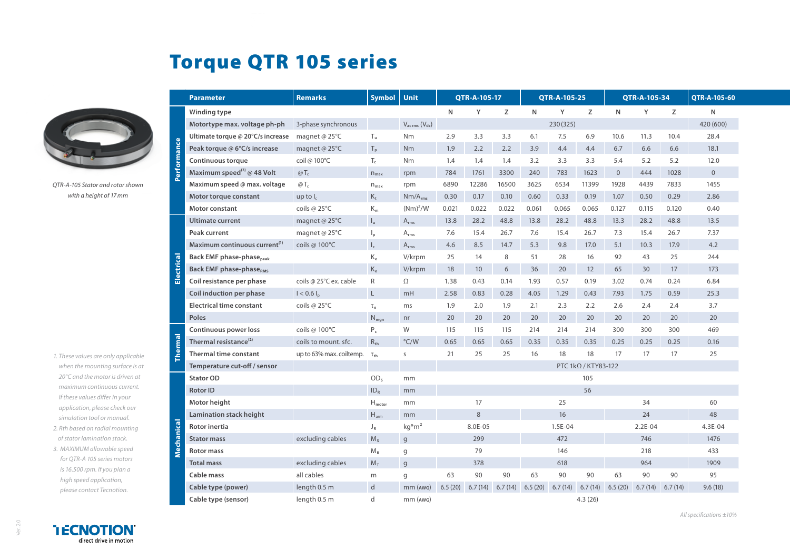## Torque QTR 105 series



*QTR-A-105 Stator and rotor shown with a height of 17mm*

- *1. These values are only applicable when the mounting surface is at 20°C and the motor is driven at maximum continuous current. If these values differ in your application, please check our simulation tool or manual.*
- *2. Rth based on radial mounting of stator lamination stack.*
- *3. MAXIMUM allowable speed for QTR-A 105 series motors is 16.500 rpm. If you plan a high speed application, please contact Tecnotion.*

|         | <b>Parameter</b>                          | <b>Remarks</b>           | <b>Symbol</b>             | Unit                                | QTR-A-105-17 |         | QTR-A-105-25 |                            |          | QTR-A-105-34 |                |           | QTR-A-105-60 |                |
|---------|-------------------------------------------|--------------------------|---------------------------|-------------------------------------|--------------|---------|--------------|----------------------------|----------|--------------|----------------|-----------|--------------|----------------|
| Perform | Winding type                              |                          |                           |                                     | N            | Y       | Z            | $\mathsf{N}$               | Y        | Z            | $\mathsf{N}$   | Y         | Z            | N              |
|         | Motortype max, voltage ph-ph              | 3-phase synchronous      |                           | $V_{\text{ac rms}} (V_{\text{dc}})$ |              |         |              |                            | 230(325) |              |                |           |              | 420 (600)      |
|         | Ultimate torque @ 20°C/s increase         | magnet @ 25°C            | $T_u$                     | Nm                                  | 2.9          | 3.3     | 3.3          | 6.1                        | 7.5      | 6.9          | 10.6           | 11.3      | 10.4         | 28.4           |
|         | Peak torque @ 6°C/s increase              | magnet @ 25°C            | $T_p$                     | <b>Nm</b>                           | 1.9          | 2.2     | 2.2          | 3.9                        | 4.4      | 4.4          | 6.7            | 6.6       | 6.6          | 18.1           |
|         | <b>Continuous torque</b>                  | coil @ 100°C             | $T_c$                     | Nm                                  | 1.4          | 1.4     | 1.4          | 3.2                        | 3.3      | 3.3          | 5.4            | 5.2       | 5.2          | 12.0           |
|         | Maximum speed <sup>(3)</sup> @ 48 Volt    | $@T_c$                   | $n_{\text{max}}$          | rpm                                 | 784          | 1761    | 3300         | 240                        | 783      | 1623         | $\overline{0}$ | 444       | 1028         | $\overline{0}$ |
|         | Maximum speed @ max. voltage              | $@T_c$                   | $n_{max}$                 | rpm                                 | 6890         | 12286   | 16500        | 3625                       | 6534     | 11399        | 1928           | 4439      | 7833         | 1455           |
|         | Motor torque constant                     | up to $I_c$              | $K_t$                     | $Nm/A_{rms}$                        | 0.30         | 0.17    | 0.10         | 0.60                       | 0.33     | 0.19         | 1.07           | 0.50      | 0.29         | 2.86           |
|         | Motor constant                            | coils @ 25°C             | $\mathsf{K}_{\mathsf{m}}$ | $(Nm)^2/W$                          | 0.021        | 0.022   | 0.022        | 0.061                      | 0.065    | 0.065        | 0.127          | 0.115     | 0.120        | 0.40           |
| Electri | <b>Ultimate current</b>                   | magnet @ $25^{\circ}$ C  | $I_{u}$                   | $A_{rms}$                           | 13.8         | 28.2    | 48.8         | 13.8                       | 28.2     | 48.8         | 13.3           | 28.2      | 48.8         | 13.5           |
|         | Peak current                              | magnet @ 25°C            | $\mathsf{I}_{\mathsf{p}}$ | $A_{rms}$                           | 7.6          | 15.4    | 26.7         | 7.6                        | 15.4     | 26.7         | 7.3            | 15.4      | 26.7         | 7.37           |
|         | Maximum continuous current <sup>(1)</sup> | coils @ 100°C            | $\mathsf{I}_\mathsf{c}$   | $A_{rms}$                           | 4.6          | 8.5     | 14.7         | 5.3                        | 9.8      | 17.0         | 5.1            | 10.3      | 17.9         | 4.2            |
|         | <b>Back EMF phase-phase</b> peak          |                          | $\rm K_e$                 | V/krpm                              | 25           | 14      | 8            | 51                         | 28       | 16           | 92             | 43        | 25           | 244            |
|         | <b>Back EMF phase-phaseRMS</b>            |                          | $\rm K_e$                 | V/krpm                              | 18           | 10      | 6            | 36                         | 20       | 12           | 65             | 30        | 17           | 173            |
|         | Coil resistance per phase                 | coils @ 25°C ex. cable   | R                         | Ω                                   | 1.38         | 0.43    | 0.14         | 1.93                       | 0.57     | 0.19         | 3.02           | 0.74      | 0.24         | 6.84           |
|         | Coil induction per phase                  | $I < 0.6 I_n$            | $\mathsf{L}$              | mH                                  | 2.58         | 0.83    | 0.28         | 4.05                       | 1.29     | 0.43         | 7.93           | 1.75      | 0.59         | 25.3           |
|         | <b>Electrical time constant</b>           | coils @ 25°C             | $\tau_e$                  | ms                                  | 1.9          | 2.0     | 1.9          | 2.1                        | 2.3      | 2.2          | 2.6            | 2.4       | 2.4          | 3.7            |
|         | <b>Poles</b>                              |                          | $N_{\text{map}}$          | nr                                  | 20           | 20      | 20           | 20                         | 20       | 20           | 20             | 20        | 20           | 20             |
|         | <b>Continuous power loss</b>              | coils @ 100°C            | $P_c$                     | W                                   | 115          | 115     | 115          | 214                        | 214      | 214          | 300            | 300       | 300          | 469            |
|         | Thermal resistance <sup>(2)</sup>         | coils to mount. sfc.     | $R_{th}$                  | $\degree$ C/W                       | 0.65         | 0.65    | 0.65         | 0.35                       | 0.35     | 0.35         | 0.25           | 0.25      | 0.25         | 0.16           |
|         | Thermal time constant                     | up to 63% max. coiltemp. | $\tau_{\text{th}}$        | S                                   | 21           | 25      | 25           | 16                         | 18       | 18           | 17             | 17        | 17           | 25             |
|         | Temperature cut-off / sensor              |                          |                           |                                     |              |         |              | PTC $1k\Omega$ / KTY83-122 |          |              |                |           |              |                |
| ె       | <b>Stator OD</b>                          |                          | OD <sub>s</sub>           | mm                                  |              |         |              |                            |          | 105          |                |           |              |                |
|         | <b>Rotor ID</b>                           |                          | $ID_R$                    | mm                                  |              |         |              |                            |          | 56           |                |           |              |                |
|         | Motor height                              |                          | $H_{motor}$               | mm                                  |              | 17      |              |                            | 25       |              |                | 34        |              | 60             |
|         | Lamination stack height                   |                          | $H_{arm}$                 | mm                                  |              | 8       |              |                            | 16       |              |                | 24        |              | 48             |
|         | <b>Rotor inertia</b>                      |                          | $J_R$                     | $kg*m2$                             |              | 8.0E-05 |              |                            | 1.5E-04  |              |                | $2.2E-04$ |              | 4.3E-04        |
|         | <b>Stator mass</b>                        | excluding cables         | M <sub>s</sub>            | $\mathsf{g}$                        |              | 299     |              |                            | 472      |              |                | 746       |              | 1476           |
|         | <b>Rotor mass</b>                         |                          | $M_R$                     | g                                   |              | 79      |              |                            | 146      |              |                | 218       |              | 433            |
|         | <b>Total mass</b>                         | excluding cables         | $M_T$                     | $\mathsf{g}$                        |              | 378     |              |                            | 618      |              |                | 964       |              | 1909           |
|         | Cable mass                                | all cables               | m                         | g                                   | 63           | 90      | 90           | 63                         | 90       | 90           | 63             | 90        | 90           | 95             |
|         | Cable type (power)                        | length 0.5 m             | $\mathsf{d}$              | $mm$ ( $AWG$ )                      | 6.5(20)      | 6.7(14) | 6.7(14)      | 6.5(20)                    | 6.7(14)  | 6.7(14)      | 6.5(20)        | 6.7(14)   | 6.7(14)      | 9.6(18)        |
|         | Cable type (sensor)                       | length 0.5 m             | d                         | mm (AWG)                            |              |         |              |                            |          | 4.3(26)      |                |           |              |                |